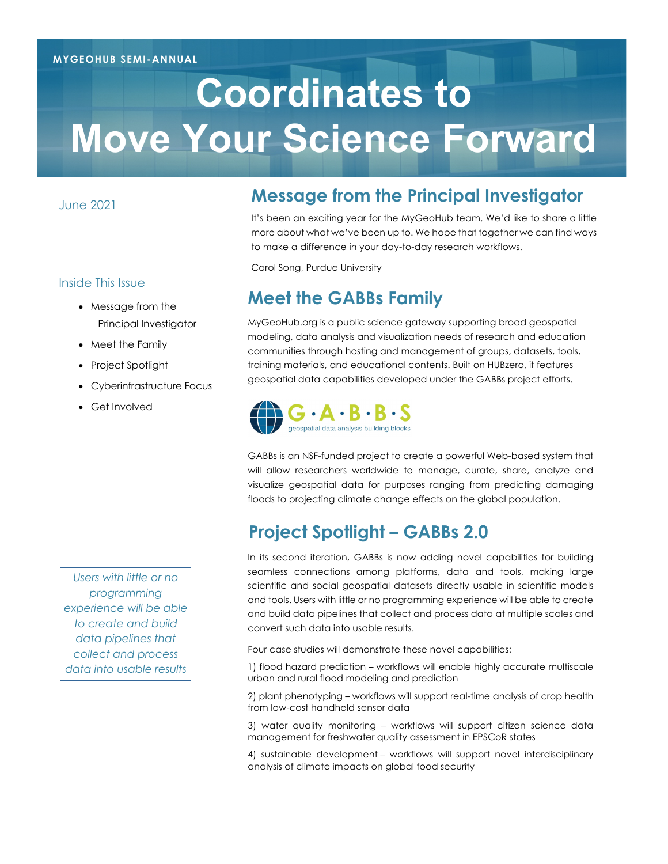# **Coordinates to Move Your Science Forward**

June 2021

#### Inside This Issue

- Message from the Principal Investigator
- Meet the Family
- Project Spotlight
- Cyberinfrastructure Focus
- Get Involved

*Users with little or no programming experience will be able to create and build data pipelines that collect and process data into usable results*

## **Message from the Principal Investigator**

It's been an exciting year for the MyGeoHub team. We'd like to share a little more about what we've been up to. We hope that together we can find ways to make a difference in your day-to-day research workflows.

Carol Song, Purdue University

## **Meet the GABBs Family**

MyGeoHub.org is a public science gateway supporting broad geospatial modeling, data analysis and visualization needs of research and education communities through hosting and management of groups, datasets, tools, training materials, and educational contents. Built on HUBzero, it features geospatial data capabilities developed under the GABBs project efforts.



GABBs is an NSF-funded project to create a powerful Web-based system that will allow researchers worldwide to manage, curate, share, analyze and visualize geospatial data for purposes ranging from predicting damaging floods to projecting climate change effects on the global population.

# **Project Spotlight – GABBs 2.0**

In its second iteration, GABBs is now adding novel capabilities for building seamless connections among platforms, data and tools, making large scientific and social geospatial datasets directly usable in scientific models and tools. Users with little or no programming experience will be able to create and build data pipelines that collect and process data at multiple scales and convert such data into usable results.

Four case studies will demonstrate these novel capabilities:

1) flood hazard prediction – workflows will enable highly accurate multiscale urban and rural flood modeling and prediction

2) plant phenotyping – workflows will support real-time analysis of crop health from low-cost handheld sensor data

3) water quality monitoring – workflows will support citizen science data management for freshwater quality assessment in EPSCoR states

4) sustainable development – workflows will support novel interdisciplinary analysis of climate impacts on global food security